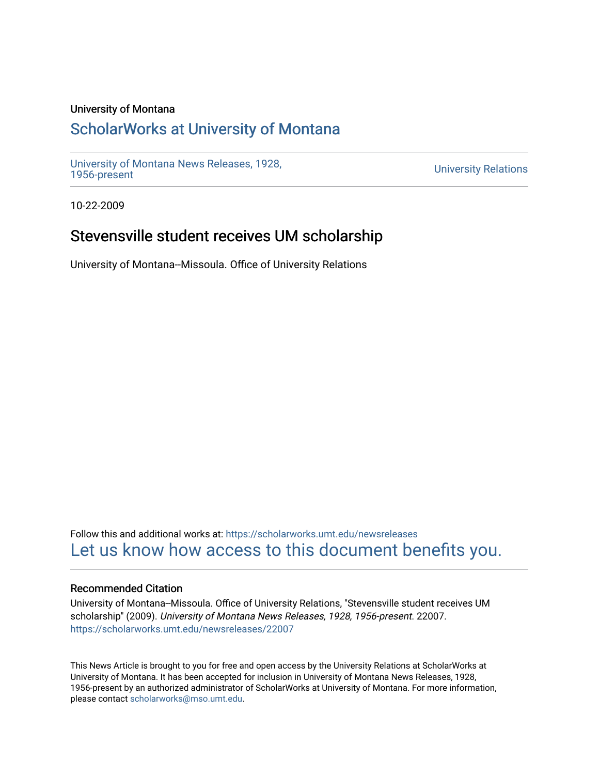### University of Montana

# [ScholarWorks at University of Montana](https://scholarworks.umt.edu/)

[University of Montana News Releases, 1928,](https://scholarworks.umt.edu/newsreleases) 

**University Relations** 

10-22-2009

# Stevensville student receives UM scholarship

University of Montana--Missoula. Office of University Relations

Follow this and additional works at: [https://scholarworks.umt.edu/newsreleases](https://scholarworks.umt.edu/newsreleases?utm_source=scholarworks.umt.edu%2Fnewsreleases%2F22007&utm_medium=PDF&utm_campaign=PDFCoverPages) [Let us know how access to this document benefits you.](https://goo.gl/forms/s2rGfXOLzz71qgsB2) 

#### Recommended Citation

University of Montana--Missoula. Office of University Relations, "Stevensville student receives UM scholarship" (2009). University of Montana News Releases, 1928, 1956-present. 22007. [https://scholarworks.umt.edu/newsreleases/22007](https://scholarworks.umt.edu/newsreleases/22007?utm_source=scholarworks.umt.edu%2Fnewsreleases%2F22007&utm_medium=PDF&utm_campaign=PDFCoverPages) 

This News Article is brought to you for free and open access by the University Relations at ScholarWorks at University of Montana. It has been accepted for inclusion in University of Montana News Releases, 1928, 1956-present by an authorized administrator of ScholarWorks at University of Montana. For more information, please contact [scholarworks@mso.umt.edu.](mailto:scholarworks@mso.umt.edu)